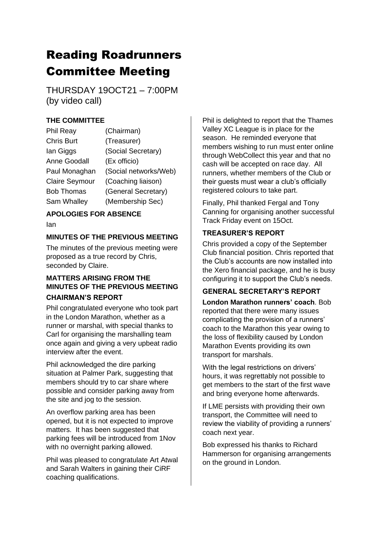# Reading Roadrunners Committee Meeting

THURSDAY 19OCT21 – 7:00PM (by video call)

# **THE COMMITTEE**

| <b>Phil Reay</b>      | (Chairman)            |
|-----------------------|-----------------------|
| <b>Chris Burt</b>     | (Treasurer)           |
| lan Giggs             | (Social Secretary)    |
| <b>Anne Goodall</b>   | (Ex officio)          |
| Paul Monaghan         | (Social networks/Web) |
| <b>Claire Seymour</b> | (Coaching liaison)    |
| <b>Bob Thomas</b>     | (General Secretary)   |
| Sam Whalley           | (Membership Sec)      |

# **APOLOGIES FOR ABSENCE**

Ian

## **MINUTES OF THE PREVIOUS MEETING**

The minutes of the previous meeting were proposed as a true record by Chris, seconded by Claire.

## **MATTERS ARISING FROM THE MINUTES OF THE PREVIOUS MEETING CHAIRMAN'S REPORT**

Phil congratulated everyone who took part in the London Marathon, whether as a runner or marshal, with special thanks to Carl for organising the marshalling team once again and giving a very upbeat radio interview after the event.

Phil acknowledged the dire parking situation at Palmer Park, suggesting that members should try to car share where possible and consider parking away from the site and jog to the session.

An overflow parking area has been opened, but it is not expected to improve matters. It has been suggested that parking fees will be introduced from 1Nov with no overnight parking allowed.

Phil was pleased to congratulate Art Atwal and Sarah Walters in gaining their CiRF coaching qualifications.

Phil is delighted to report that the Thames Valley XC League is in place for the season. He reminded everyone that members wishing to run must enter online through WebCollect this year and that no cash will be accepted on race day. All runners, whether members of the Club or their guests must wear a club's officially registered colours to take part.

Finally, Phil thanked Fergal and Tony Canning for organising another successful Track Friday event on 15Oct.

## **TREASURER'S REPORT**

Chris provided a copy of the September Club financial position. Chris reported that the Club's accounts are now installed into the Xero financial package, and he is busy configuring it to support the Club's needs.

# **GENERAL SECRETARY'S REPORT**

**London Marathon runners' coach**. Bob reported that there were many issues complicating the provision of a runners' coach to the Marathon this year owing to the loss of flexibility caused by London Marathon Events providing its own transport for marshals.

With the legal restrictions on drivers' hours, it was regrettably not possible to get members to the start of the first wave and bring everyone home afterwards.

If LME persists with providing their own transport, the Committee will need to review the viability of providing a runners' coach next year.

Bob expressed his thanks to Richard Hammerson for organising arrangements on the ground in London.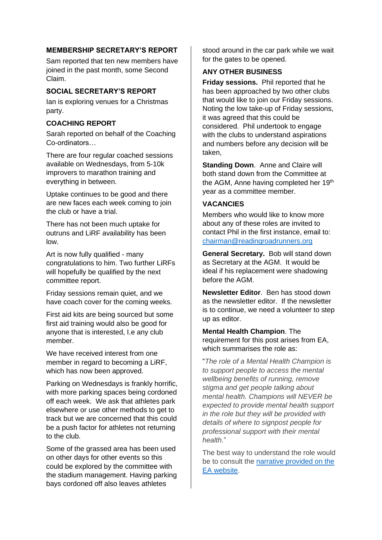#### **MEMBERSHIP SECRETARY'S REPORT**

Sam reported that ten new members have joined in the past month, some Second Claim.

## **SOCIAL SECRETARY'S REPORT**

Ian is exploring venues for a Christmas party.

## **COACHING REPORT**

Sarah reported on behalf of the Coaching Co-ordinators…

There are four regular coached sessions available on Wednesdays, from 5-10k improvers to marathon training and everything in between.

Uptake continues to be good and there are new faces each week coming to join the club or have a trial.

There has not been much uptake for outruns and LiRF availability has been low.

Art is now fully qualified - many congratulations to him. Two further LiRFs will hopefully be qualified by the next committee report.

Friday sessions remain quiet, and we have coach cover for the coming weeks.

First aid kits are being sourced but some first aid training would also be good for anyone that is interested, I.e any club member.

We have received interest from one member in regard to becoming a LiRF, which has now been approved.

Parking on Wednesdays is frankly horrific, with more parking spaces being cordoned off each week. We ask that athletes park elsewhere or use other methods to get to track but we are concerned that this could be a push factor for athletes not returning to the club.

Some of the grassed area has been used on other days for other events so this could be explored by the committee with the stadium management. Having parking bays cordoned off also leaves athletes

stood around in the car park while we wait for the gates to be opened.

#### **ANY OTHER BUSINESS**

**Friday sessions.** Phil reported that he has been approached by two other clubs that would like to join our Friday sessions. Noting the low take-up of Friday sessions, it was agreed that this could be considered. Phil undertook to engage with the clubs to understand aspirations and numbers before any decision will be taken,

**Standing Down**. Anne and Claire will both stand down from the Committee at the AGM, Anne having completed her 19<sup>th</sup> year as a committee member.

#### **VACANCIES**

Members who would like to know more about any of these roles are invited to contact Phil in the first instance, email to: [chairman@readingroadrunners.org](mailto:chairman@readingroadrunners.org)

**General Secretary.** Bob will stand down as Secretary at the AGM. It would be ideal if his replacement were shadowing before the AGM.

**Newsletter Editor**. Ben has stood down as the newsletter editor. If the newsletter is to continue, we need a volunteer to step up as editor.

**Mental Health Champion**. The requirement for this post arises from EA, which summarises the role as:

"*The role of a Mental Health Champion is to support people to access the mental wellbeing benefits of running, remove stigma and get people talking about mental health. Champions will NEVER be expected to provide mental health support in the role but they will be provided with details of where to signpost people for professional support with their mental health.*"

The best way to understand the role would be to consult the [narrative provided on the](https://www.englandathletics.org/athletics-and-running/our-programmes/runandtalk/mental-health-champions/)  [EA website.](https://www.englandathletics.org/athletics-and-running/our-programmes/runandtalk/mental-health-champions/)